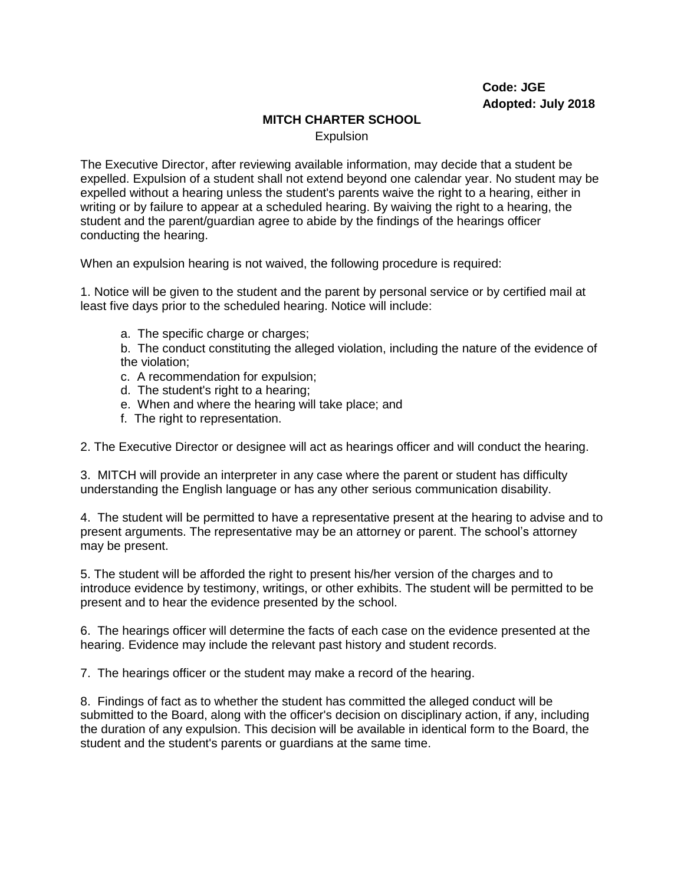## **MITCH CHARTER SCHOOL**

**Expulsion** 

The Executive Director, after reviewing available information, may decide that a student be expelled. Expulsion of a student shall not extend beyond one calendar year. No student may be expelled without a hearing unless the student's parents waive the right to a hearing, either in writing or by failure to appear at a scheduled hearing. By waiving the right to a hearing, the student and the parent/guardian agree to abide by the findings of the hearings officer conducting the hearing.

When an expulsion hearing is not waived, the following procedure is required:

1. Notice will be given to the student and the parent by personal service or by certified mail at least five days prior to the scheduled hearing. Notice will include:

a. The specific charge or charges;

b. The conduct constituting the alleged violation, including the nature of the evidence of the violation;

- c. A recommendation for expulsion;
- d. The student's right to a hearing;
- e. When and where the hearing will take place; and
- f. The right to representation.

2. The Executive Director or designee will act as hearings officer and will conduct the hearing.

3. MITCH will provide an interpreter in any case where the parent or student has difficulty understanding the English language or has any other serious communication disability.

4. The student will be permitted to have a representative present at the hearing to advise and to present arguments. The representative may be an attorney or parent. The school's attorney may be present.

5. The student will be afforded the right to present his/her version of the charges and to introduce evidence by testimony, writings, or other exhibits. The student will be permitted to be present and to hear the evidence presented by the school.

6. The hearings officer will determine the facts of each case on the evidence presented at the hearing. Evidence may include the relevant past history and student records.

7. The hearings officer or the student may make a record of the hearing.

8. Findings of fact as to whether the student has committed the alleged conduct will be submitted to the Board, along with the officer's decision on disciplinary action, if any, including the duration of any expulsion. This decision will be available in identical form to the Board, the student and the student's parents or guardians at the same time.